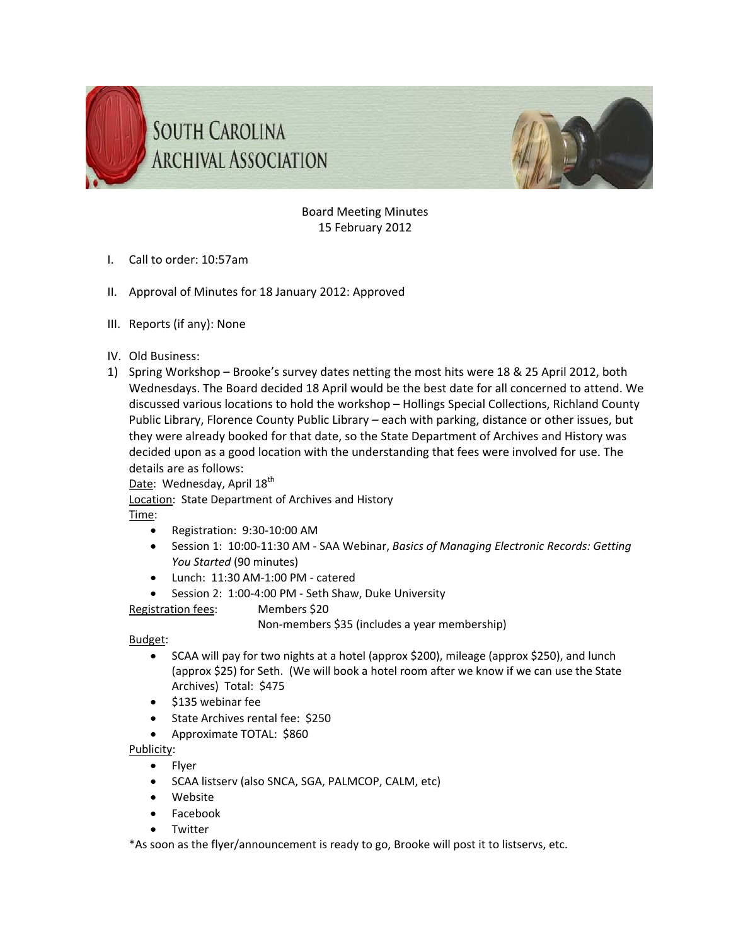



Board Meeting Minutes 15 February 2012

- I. Call to order: 10:57am
- II. Approval of Minutes for 18 January 2012: Approved
- III. Reports (if any): None
- IV. Old Business:
- 1) Spring Workshop Brooke's survey dates netting the most hits were 18 & 25 April 2012, both Wednesdays. The Board decided 18 April would be the best date for all concerned to attend. We discussed various locations to hold the workshop – Hollings Special Collections, Richland County Public Library, Florence County Public Library – each with parking, distance or other issues, but they were already booked for that date, so the State Department of Archives and History was decided upon as a good location with the understanding that fees were involved for use. The details are as follows:

Date: Wednesday, April 18<sup>th</sup>

Location: State Department of Archives and History

Time:

- Registration: 9:30‐10:00 AM
- Session 1: 10:00‐11:30 AM ‐ SAA Webinar, *Basics of Managing Electronic Records: Getting You Started* (90 minutes)
- Lunch: 11:30 AM‐1:00 PM ‐ catered
- Session 2: 1:00‐4:00 PM ‐ Seth Shaw, Duke University

Registration fees: Members \$20

Non‐members \$35 (includes a year membership)

Budget:

- SCAA will pay for two nights at a hotel (approx \$200), mileage (approx \$250), and lunch (approx \$25) for Seth. (We will book a hotel room after we know if we can use the State Archives) Total: \$475
- $\bullet$  \$135 webinar fee
- State Archives rental fee: \$250
- Approximate TOTAL: \$860

Publicity:

- Flyer
- SCAA listserv (also SNCA, SGA, PALMCOP, CALM, etc)
- Website
- Facebook
- Twitter

\*As soon as the flyer/announcement is ready to go, Brooke will post it to listservs, etc.